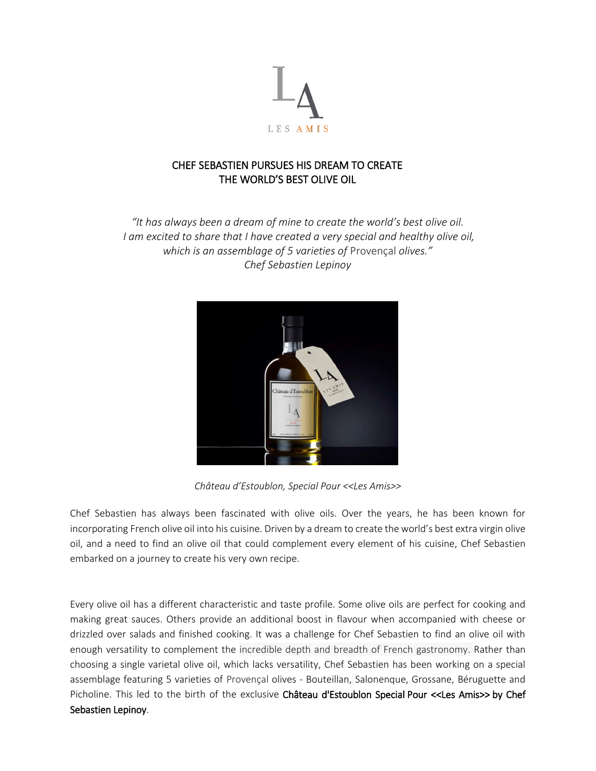

## CHEF SEBASTIEN PURSUES HIS DREAM TO CREATE THE WORLD'S BEST OLIVE OIL

*"It has always been a dream of mine to create the world's best olive oil. I am excited to share that I have created a very special and healthy olive oil, which is an assemblage of 5 varieties of* Provençal *olives." Chef Sebastien Lepinoy*



*Château d'Estoublon, Special Pour <<Les Amis>>*

Chef Sebastien has always been fascinated with olive oils. Over the years, he has been known for incorporating French olive oil into his cuisine. Driven by a dream to create the world's best extra virgin olive oil, and a need to find an olive oil that could complement every element of his cuisine, Chef Sebastien embarked on a journey to create his very own recipe.

Every olive oil has a different characteristic and taste profile. Some olive oils are perfect for cooking and making great sauces. Others provide an additional boost in flavour when accompanied with cheese or drizzled over salads and finished cooking. It was a challenge for Chef Sebastien to find an olive oil with enough versatility to complement the incredible depth and breadth of French gastronomy. Rather than choosing a single varietal olive oil, which lacks versatility, Chef Sebastien has been working on a special assemblage featuring 5 varieties of Provençal olives - Bouteillan, Salonenque, Grossane, Béruguette and Picholine. This led to the birth of the exclusive Château d'Estoublon Special Pour << Les Amis>> by Chef Sebastien Lepinoy.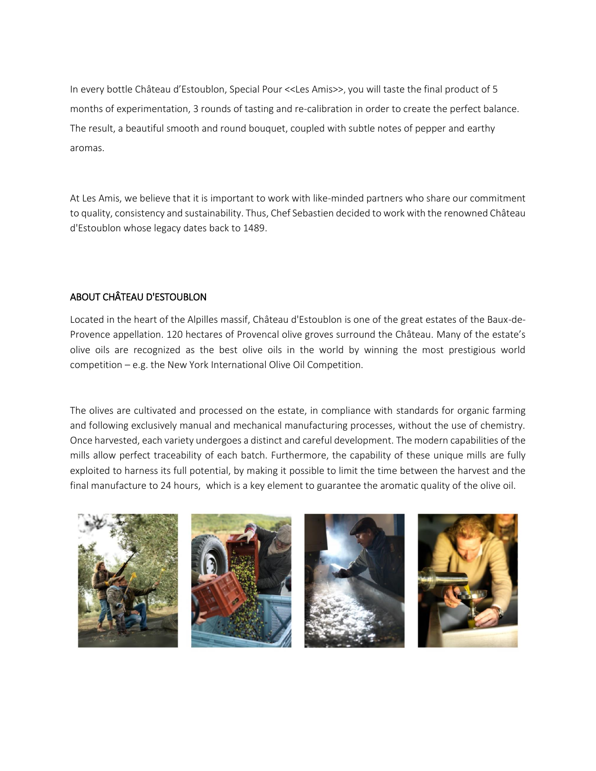In every bottle Château d'Estoublon, Special Pour <<Les Amis>>, you will taste the final product of 5 months of experimentation, 3 rounds of tasting and re-calibration in order to create the perfect balance. The result, a beautiful smooth and round bouquet, coupled with subtle notes of pepper and earthy aromas.

At Les Amis, we believe that it is important to work with like-minded partners who share our commitment to quality, consistency and sustainability. Thus, Chef Sebastien decided to work with the renowned Château d'Estoublon whose legacy dates back to 1489.

## ABOUT CHÂTEAU D'ESTOUBLON

Located in the heart of the Alpilles massif, Château d'Estoublon is one of the great estates of the Baux-de-Provence appellation. 120 hectares of Provencal olive groves surround the Château. Many of the estate's olive oils are recognized as the best olive oils in the world by winning the most prestigious world competition – e.g. the New York International Olive Oil Competition.

The olives are cultivated and processed on the estate, in compliance with standards for organic farming and following exclusively manual and mechanical manufacturing processes, without the use of chemistry. Once harvested, each variety undergoes a distinct and careful development. The modern capabilities of the mills allow perfect traceability of each batch. Furthermore, the capability of these unique mills are fully exploited to harness its full potential, by making it possible to limit the time between the harvest and the final manufacture to 24 hours, which is a key element to guarantee the aromatic quality of the olive oil.